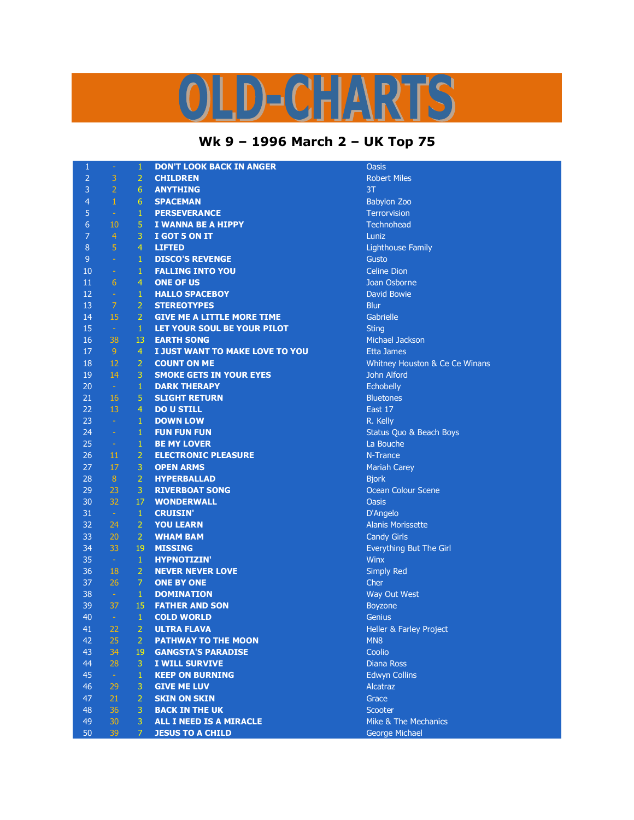## OLD-CHARTS

## **Wk 9 – 1996 March 2 – UK Top 75**

| $\mathbf{1}$   | ÷              | $\mathbf{1}$   | <b>DON'T LOOK BACK IN ANGER</b>   | Oasis            |
|----------------|----------------|----------------|-----------------------------------|------------------|
| $\overline{2}$ | 3              | $\overline{2}$ | <b>CHILDREN</b>                   | Robert M         |
| 3              | $\overline{2}$ | 6              | <b>ANYTHING</b>                   | 3T               |
| $\overline{4}$ | $\,1\,$        | 6              | <b>SPACEMAN</b>                   | <b>Babylon</b>   |
| 5              | F.             | $\mathbf{1}$   | <b>PERSEVERANCE</b>               | <b>Terrorvis</b> |
| $\overline{6}$ | 10             | 5              | I WANNA BE A HIPPY                | Technoh          |
| $\overline{7}$ | $\overline{4}$ | 3              | I GOT 5 ON IT                     | Luniz            |
| $\,8\,$        | $\overline{5}$ | $\overline{4}$ | <b>LIFTED</b>                     | Lighthou         |
| $\overline{9}$ | $\omega$       | $\mathbf{1}$   | <b>DISCO'S REVENGE</b>            | Gusto            |
| 10             | $\omega$       | $\mathbf{1}$   | <b>FALLING INTO YOU</b>           | <b>Celine Di</b> |
| 11             | 6              | $\overline{4}$ | <b>ONE OF US</b>                  | Joan Ost         |
| 12             | $\omega$       | $\mathbf{1}$   | <b>HALLO SPACEBOY</b>             | David Bo         |
| 13             | $\overline{7}$ | $\overline{2}$ | <b>STEREOTYPES</b>                | <b>Blur</b>      |
| 14             | 15             | $\overline{2}$ | <b>GIVE ME A LITTLE MORE TIME</b> | Gabrielle        |
| 15             | $\sim$         | $\mathbf{1}$   | LET YOUR SOUL BE YOUR PILOT       | Sting            |
| 16             | 38             | 13             | <b>EARTH SONG</b>                 | Michael:         |
| 17             | 9 <sup>°</sup> | 4              | I JUST WANT TO MAKE LOVE TO YOU   | Etta Jam         |
| 18             | 12             | $\overline{2}$ | <b>COUNT ON ME</b>                | Whitney          |
| 19             | 14             | 3              | <b>SMOKE GETS IN YOUR EYES</b>    | John Alfo        |
| 20             | $\sim$         | $\mathbf{1}$   | <b>DARK THERAPY</b>               | Echobelly        |
| 21             | 16             | 5              | <b>SLIGHT RETURN</b>              | <b>Bluetone</b>  |
| 22             | 13             | $\overline{4}$ | <b>DO U STILL</b>                 | East 17          |
| 23             | $\sim$         | $\mathbf{1}$   | <b>DOWN LOW</b>                   | R. Kelly         |
| 24             | $\omega$       | $\mathbf{1}$   | <b>FUN FUN FUN</b>                | Status Q         |
| 25             | $\omega$       | 1              | <b>BE MY LOVER</b>                | La Bouch         |
| 26             | 11             | $\overline{2}$ | <b>ELECTRONIC PLEASURE</b>        | N-Trance         |
| 27             | 17             | 3              | <b>OPEN ARMS</b>                  | Mariah C         |
| 28             | 8 <sup>°</sup> | $\overline{2}$ | <b>HYPERBALLAD</b>                | <b>Bjork</b>     |
| 29             | 23             | 3              | <b>RIVERBOAT SONG</b>             | Ocean Co         |
| 30             | 32             | 17             | <b>WONDERWALL</b>                 | <b>Oasis</b>     |
| 31             | $\sim$         | $\mathbf{1}$   | <b>CRUISIN'</b>                   | D'Angelo         |
| 32             | 24             | $\overline{2}$ | <b>YOU LEARN</b>                  | <b>Alanis Mo</b> |
| 33             | 20             | $\overline{2}$ | <b>WHAM BAM</b>                   | Candy Gi         |
| 34             | 33             | 19             | <b>MISSING</b>                    | Everythir        |
| 35             | $\sim$         | $\mathbf{1}$   | <b>HYPNOTIZIN'</b>                | Winx             |
| 36             | 18             | $\overline{2}$ | <b>NEVER NEVER LOVE</b>           | <b>Simply R</b>  |
| 37             | 26             | $\overline{7}$ | <b>ONE BY ONE</b>                 | Cher             |
| 38             | $\sim$         | $\mathbf{1}$   | <b>DOMINATION</b>                 | <b>Way Out</b>   |
| 39             | 37             | 15             | <b>FATHER AND SON</b>             | Boyzone          |
| 40             | $\sim$         | $\mathbf{1}$   | <b>COLD WORLD</b>                 | Genius           |
| 41             | 22             | 2              | ULTRA FLAVA                       | Heller &         |
| 42             | 25             | $\overline{2}$ | <b>PATHWAY TO THE MOON</b>        | MN <sub>8</sub>  |
| 43             | 34             | 19             | <b>GANGSTA'S PARADISE</b>         | Coolio           |
| 44             | 28             | 3              | I WILL SURVIVE                    | Diana Ro         |
| 45             | $\omega$       | $\mathbf{1}$   | <b>KEEP ON BURNING</b>            | Edwyn C          |
| 46             | 29             | 3              | <b>GIVE ME LUV</b>                | <b>Alcatraz</b>  |
| 47             | 21             | $\overline{2}$ | <b>SKIN ON SKIN</b>               | Grace            |
| 48             | 36             | 3              | <b>BACK IN THE UK</b>             | Scooter          |
| 49             | 30             | 3              | ALL I NEED IS A MIRACLE           | Mike & T         |
| 50             | 39             | 7 <sup>1</sup> | <b>JESUS TO A CHILD</b>           | George M         |

**Robert Miles Babylon Zoo** Terrorvision Technohead **Lighthouse Family Celine Dion Joan Osborne David Bowie Michael Jackson Etta James Whitney Houston & Ce Ce Winans John Alford** Echobelly **Bluetones** Status Quo & Beach Boys La Bouche **N-Trance Mariah Carey Ocean Colour Scene** D'Angelo Alanis Morissette **Candy Girls** Everything But The Girl **Simply Red Way Out West Boyzone Heller & Farley Project Diana Ross Edwyn Collins** Mike & The Mechanics

**George Michael**